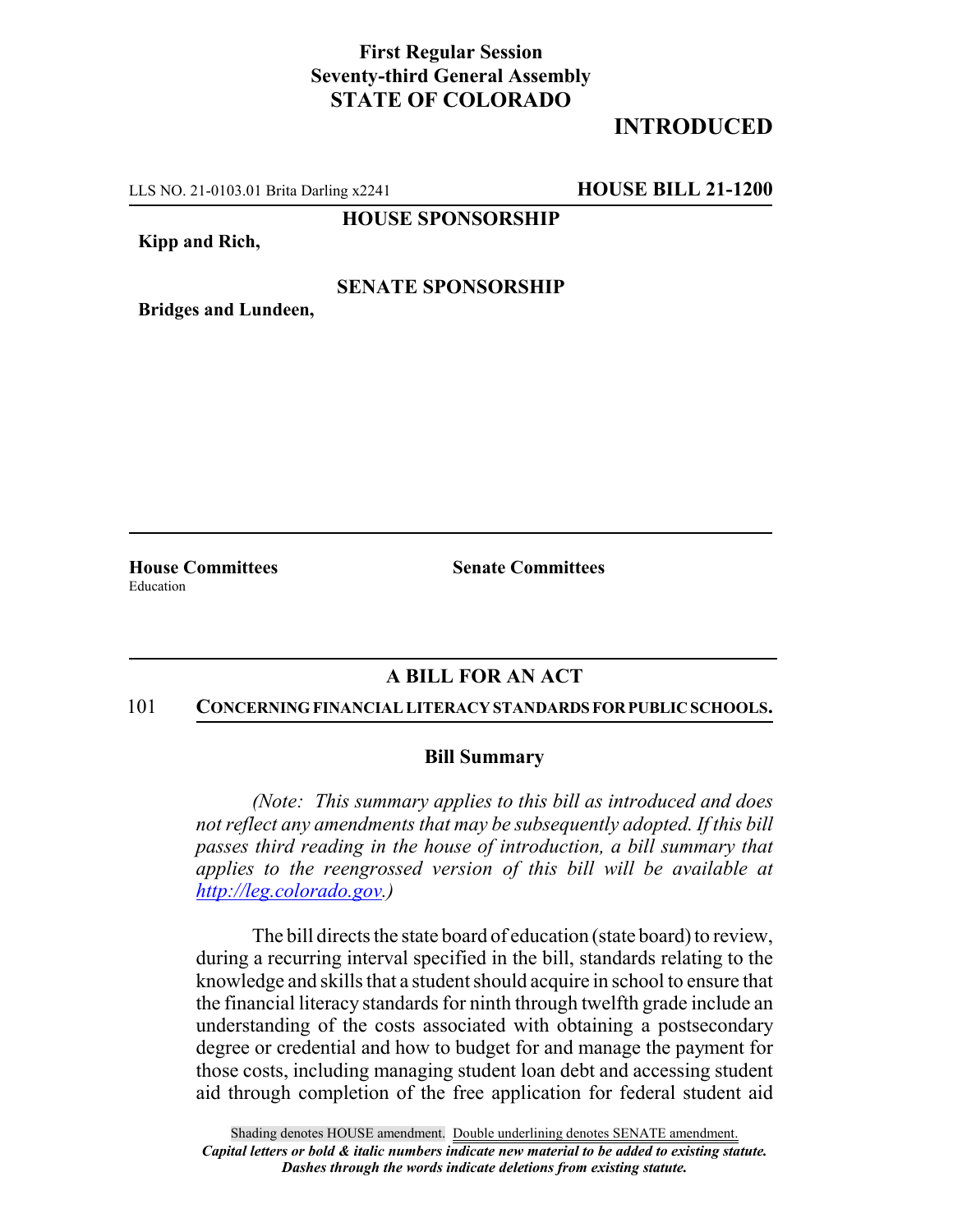# **First Regular Session Seventy-third General Assembly STATE OF COLORADO**

# **INTRODUCED**

LLS NO. 21-0103.01 Brita Darling x2241 **HOUSE BILL 21-1200**

**HOUSE SPONSORSHIP**

**Kipp and Rich,**

## **SENATE SPONSORSHIP**

**Bridges and Lundeen,**

Education

**House Committees Senate Committees**

## **A BILL FOR AN ACT**

#### 101 **CONCERNING FINANCIAL LITERACY STANDARDS FOR PUBLIC SCHOOLS.**

### **Bill Summary**

*(Note: This summary applies to this bill as introduced and does not reflect any amendments that may be subsequently adopted. If this bill passes third reading in the house of introduction, a bill summary that applies to the reengrossed version of this bill will be available at http://leg.colorado.gov.)*

The bill directs the state board of education (state board) to review, during a recurring interval specified in the bill, standards relating to the knowledge and skills that a student should acquire in school to ensure that the financial literacy standards for ninth through twelfth grade include an understanding of the costs associated with obtaining a postsecondary degree or credential and how to budget for and manage the payment for those costs, including managing student loan debt and accessing student aid through completion of the free application for federal student aid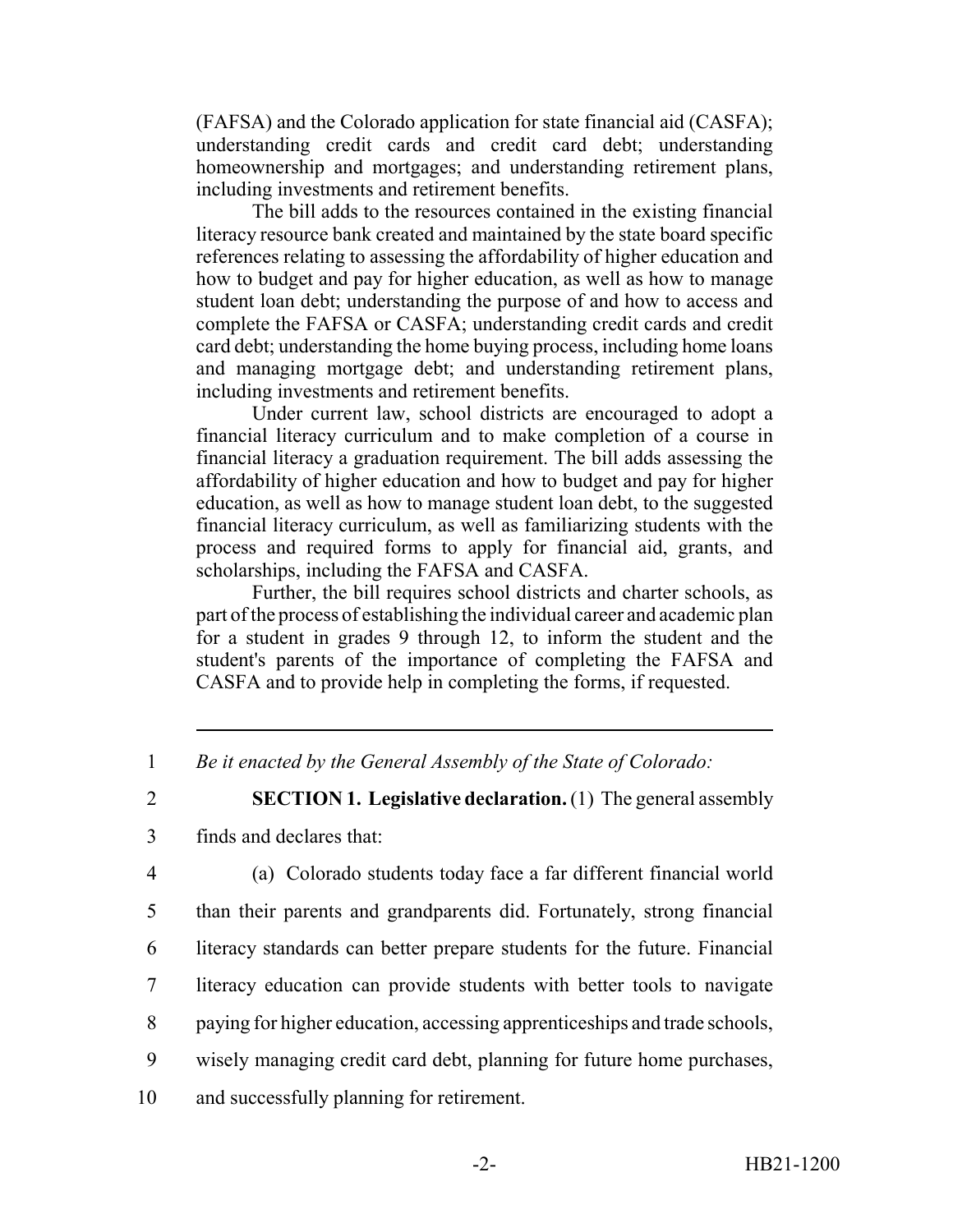(FAFSA) and the Colorado application for state financial aid (CASFA); understanding credit cards and credit card debt; understanding homeownership and mortgages; and understanding retirement plans, including investments and retirement benefits.

The bill adds to the resources contained in the existing financial literacy resource bank created and maintained by the state board specific references relating to assessing the affordability of higher education and how to budget and pay for higher education, as well as how to manage student loan debt; understanding the purpose of and how to access and complete the FAFSA or CASFA; understanding credit cards and credit card debt; understanding the home buying process, including home loans and managing mortgage debt; and understanding retirement plans, including investments and retirement benefits.

Under current law, school districts are encouraged to adopt a financial literacy curriculum and to make completion of a course in financial literacy a graduation requirement. The bill adds assessing the affordability of higher education and how to budget and pay for higher education, as well as how to manage student loan debt, to the suggested financial literacy curriculum, as well as familiarizing students with the process and required forms to apply for financial aid, grants, and scholarships, including the FAFSA and CASFA.

Further, the bill requires school districts and charter schools, as part of the process of establishing the individual career and academic plan for a student in grades 9 through 12, to inform the student and the student's parents of the importance of completing the FAFSA and CASFA and to provide help in completing the forms, if requested.

1 *Be it enacted by the General Assembly of the State of Colorado:*

2 **SECTION 1. Legislative declaration.** (1) The general assembly

3 finds and declares that:

4 (a) Colorado students today face a far different financial world

 than their parents and grandparents did. Fortunately, strong financial literacy standards can better prepare students for the future. Financial literacy education can provide students with better tools to navigate paying for higher education, accessing apprenticeships and trade schools, wisely managing credit card debt, planning for future home purchases,

10 and successfully planning for retirement.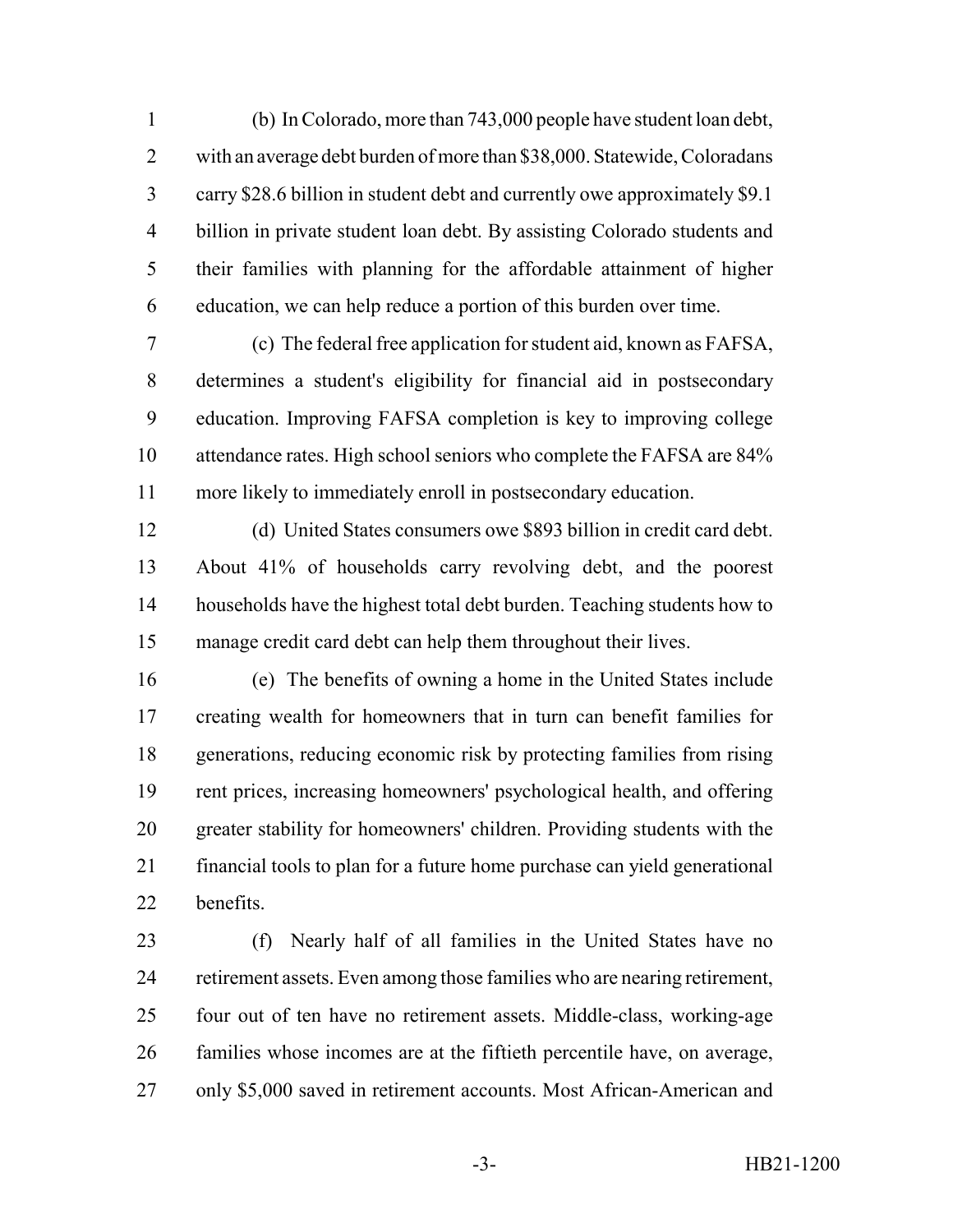(b) In Colorado, more than 743,000 people have student loan debt, with an average debt burden of more than \$38,000. Statewide, Coloradans carry \$28.6 billion in student debt and currently owe approximately \$9.1 billion in private student loan debt. By assisting Colorado students and their families with planning for the affordable attainment of higher education, we can help reduce a portion of this burden over time.

 (c) The federal free application for student aid, known as FAFSA, determines a student's eligibility for financial aid in postsecondary education. Improving FAFSA completion is key to improving college attendance rates. High school seniors who complete the FAFSA are 84% more likely to immediately enroll in postsecondary education.

 (d) United States consumers owe \$893 billion in credit card debt. About 41% of households carry revolving debt, and the poorest households have the highest total debt burden. Teaching students how to manage credit card debt can help them throughout their lives.

 (e) The benefits of owning a home in the United States include creating wealth for homeowners that in turn can benefit families for generations, reducing economic risk by protecting families from rising rent prices, increasing homeowners' psychological health, and offering greater stability for homeowners' children. Providing students with the financial tools to plan for a future home purchase can yield generational benefits.

 (f) Nearly half of all families in the United States have no retirement assets. Even among those families who are nearing retirement, four out of ten have no retirement assets. Middle-class, working-age families whose incomes are at the fiftieth percentile have, on average, only \$5,000 saved in retirement accounts. Most African-American and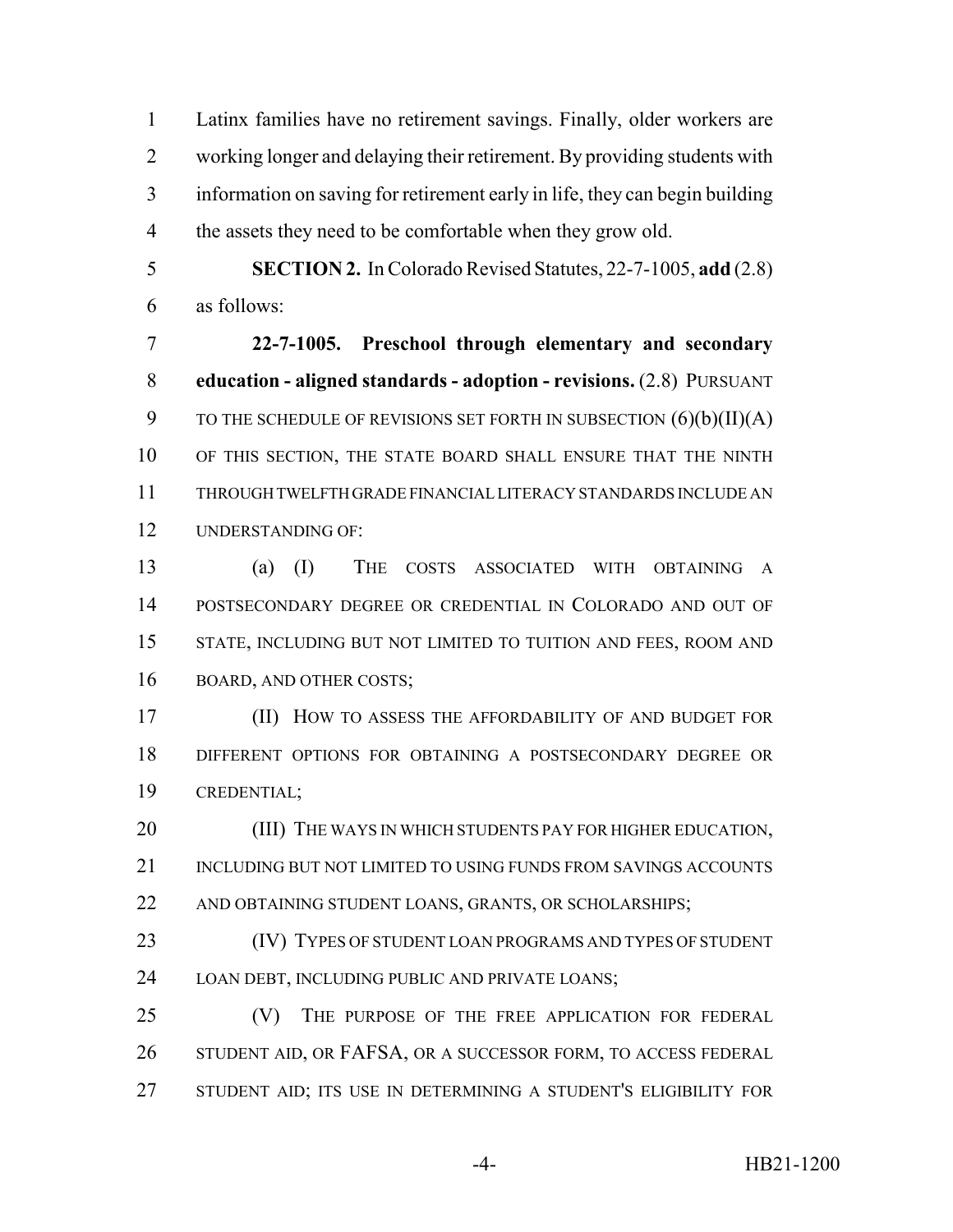Latinx families have no retirement savings. Finally, older workers are working longer and delaying their retirement. By providing students with information on saving for retirement early in life, they can begin building the assets they need to be comfortable when they grow old.

 **SECTION 2.** In Colorado Revised Statutes, 22-7-1005, **add** (2.8) as follows:

 **22-7-1005. Preschool through elementary and secondary education - aligned standards - adoption - revisions.** (2.8) PURSUANT 9 TO THE SCHEDULE OF REVISIONS SET FORTH IN SUBSECTION  $(6)(b)(II)(A)$  OF THIS SECTION, THE STATE BOARD SHALL ENSURE THAT THE NINTH THROUGH TWELFTH GRADE FINANCIAL LITERACY STANDARDS INCLUDE AN UNDERSTANDING OF:

 (a) (I) THE COSTS ASSOCIATED WITH OBTAINING A POSTSECONDARY DEGREE OR CREDENTIAL IN COLORADO AND OUT OF STATE, INCLUDING BUT NOT LIMITED TO TUITION AND FEES, ROOM AND BOARD, AND OTHER COSTS;

 (II) HOW TO ASSESS THE AFFORDABILITY OF AND BUDGET FOR DIFFERENT OPTIONS FOR OBTAINING A POSTSECONDARY DEGREE OR CREDENTIAL;

20 (III) THE WAYS IN WHICH STUDENTS PAY FOR HIGHER EDUCATION, 21 INCLUDING BUT NOT LIMITED TO USING FUNDS FROM SAVINGS ACCOUNTS 22 AND OBTAINING STUDENT LOANS, GRANTS, OR SCHOLARSHIPS;

 (IV) TYPES OF STUDENT LOAN PROGRAMS AND TYPES OF STUDENT LOAN DEBT, INCLUDING PUBLIC AND PRIVATE LOANS;

 (V) THE PURPOSE OF THE FREE APPLICATION FOR FEDERAL 26 STUDENT AID, OR FAFSA, OR A SUCCESSOR FORM, TO ACCESS FEDERAL STUDENT AID; ITS USE IN DETERMINING A STUDENT'S ELIGIBILITY FOR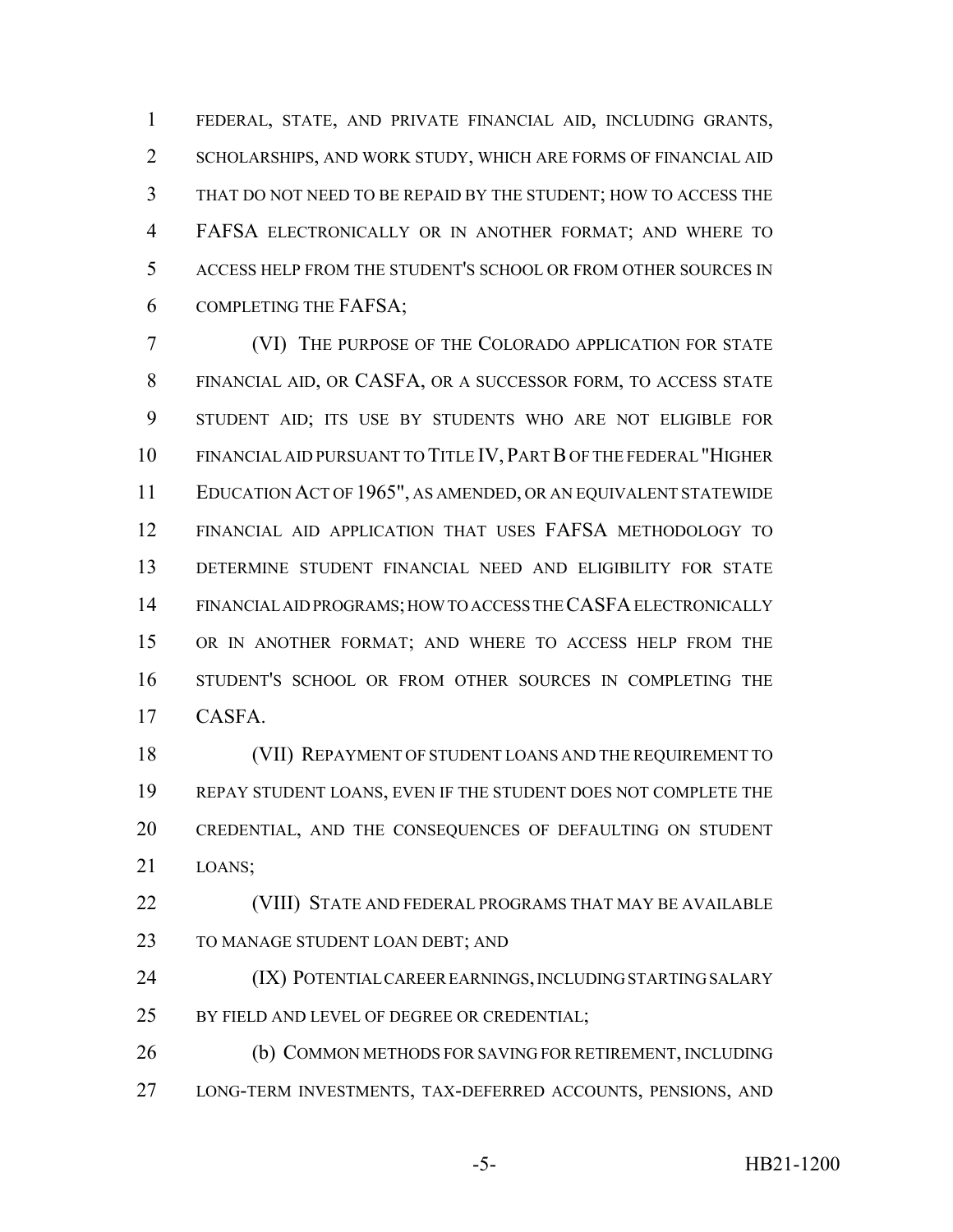FEDERAL, STATE, AND PRIVATE FINANCIAL AID, INCLUDING GRANTS, SCHOLARSHIPS, AND WORK STUDY, WHICH ARE FORMS OF FINANCIAL AID THAT DO NOT NEED TO BE REPAID BY THE STUDENT; HOW TO ACCESS THE FAFSA ELECTRONICALLY OR IN ANOTHER FORMAT; AND WHERE TO ACCESS HELP FROM THE STUDENT'S SCHOOL OR FROM OTHER SOURCES IN COMPLETING THE FAFSA;

 (VI) THE PURPOSE OF THE COLORADO APPLICATION FOR STATE FINANCIAL AID, OR CASFA, OR A SUCCESSOR FORM, TO ACCESS STATE STUDENT AID; ITS USE BY STUDENTS WHO ARE NOT ELIGIBLE FOR FINANCIAL AID PURSUANT TO TITLE IV, PART B OF THE FEDERAL "HIGHER EDUCATION ACT OF 1965", AS AMENDED, OR AN EQUIVALENT STATEWIDE FINANCIAL AID APPLICATION THAT USES FAFSA METHODOLOGY TO DETERMINE STUDENT FINANCIAL NEED AND ELIGIBILITY FOR STATE FINANCIAL AID PROGRAMS; HOW TO ACCESS THE CASFA ELECTRONICALLY OR IN ANOTHER FORMAT; AND WHERE TO ACCESS HELP FROM THE STUDENT'S SCHOOL OR FROM OTHER SOURCES IN COMPLETING THE CASFA.

 (VII) REPAYMENT OF STUDENT LOANS AND THE REQUIREMENT TO REPAY STUDENT LOANS, EVEN IF THE STUDENT DOES NOT COMPLETE THE CREDENTIAL, AND THE CONSEQUENCES OF DEFAULTING ON STUDENT LOANS;

 (VIII) STATE AND FEDERAL PROGRAMS THAT MAY BE AVAILABLE 23 TO MANAGE STUDENT LOAN DEBT; AND

 (IX) POTENTIAL CAREER EARNINGS, INCLUDING STARTING SALARY BY FIELD AND LEVEL OF DEGREE OR CREDENTIAL;

 (b) COMMON METHODS FOR SAVING FOR RETIREMENT, INCLUDING LONG-TERM INVESTMENTS, TAX-DEFERRED ACCOUNTS, PENSIONS, AND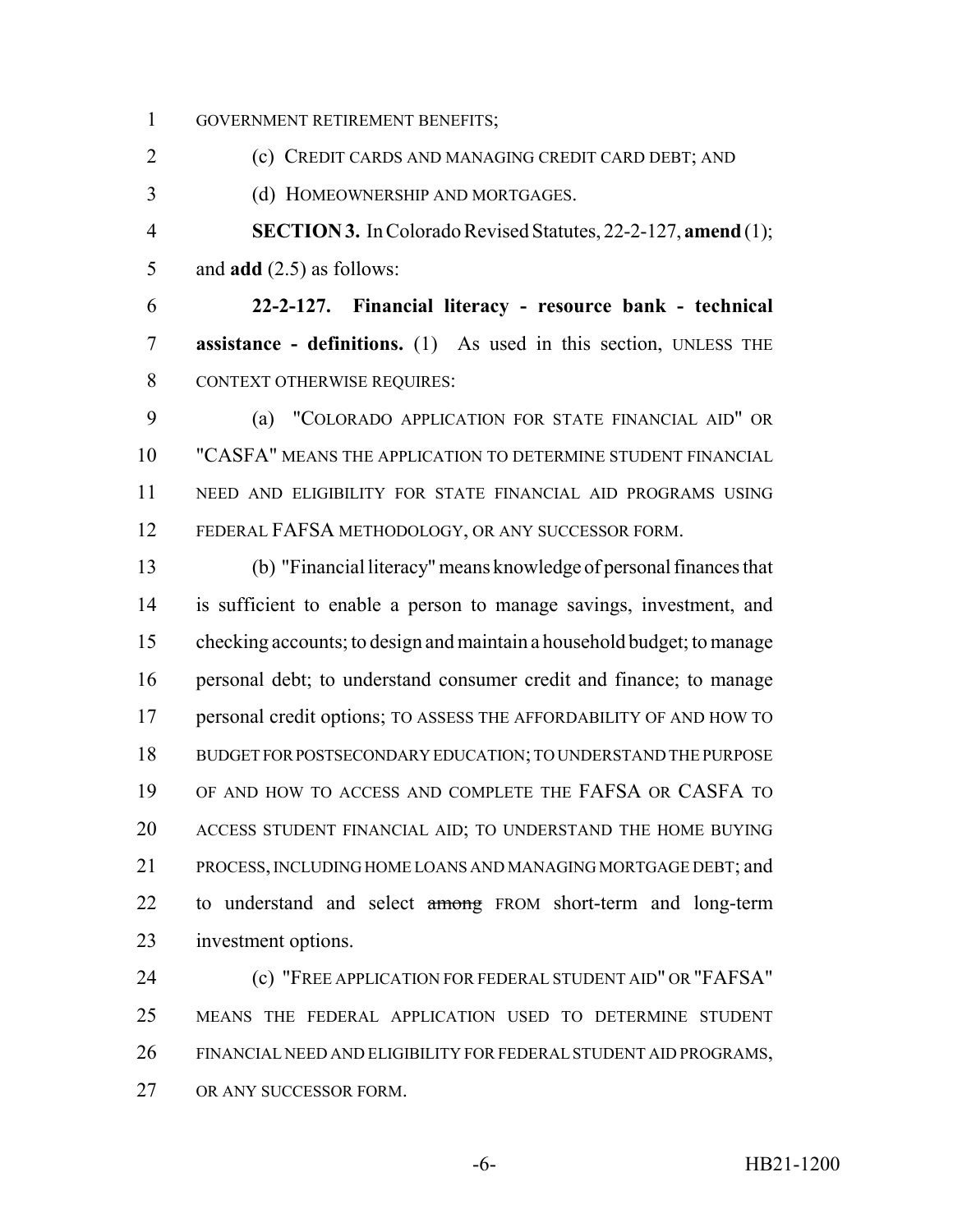GOVERNMENT RETIREMENT BENEFITS;

(c) CREDIT CARDS AND MANAGING CREDIT CARD DEBT; AND

(d) HOMEOWNERSHIP AND MORTGAGES.

 **SECTION 3.** In Colorado Revised Statutes, 22-2-127, **amend** (1); and **add** (2.5) as follows:

 **22-2-127. Financial literacy - resource bank - technical assistance - definitions.** (1) As used in this section, UNLESS THE CONTEXT OTHERWISE REQUIRES:

 (a) "COLORADO APPLICATION FOR STATE FINANCIAL AID" OR "CASFA" MEANS THE APPLICATION TO DETERMINE STUDENT FINANCIAL NEED AND ELIGIBILITY FOR STATE FINANCIAL AID PROGRAMS USING FEDERAL FAFSA METHODOLOGY, OR ANY SUCCESSOR FORM.

 (b) "Financial literacy" means knowledge of personal finances that is sufficient to enable a person to manage savings, investment, and checking accounts; to design and maintain a household budget; to manage personal debt; to understand consumer credit and finance; to manage personal credit options; TO ASSESS THE AFFORDABILITY OF AND HOW TO BUDGET FOR POSTSECONDARY EDUCATION; TO UNDERSTAND THE PURPOSE OF AND HOW TO ACCESS AND COMPLETE THE FAFSA OR CASFA TO ACCESS STUDENT FINANCIAL AID; TO UNDERSTAND THE HOME BUYING PROCESS, INCLUDING HOME LOANS AND MANAGING MORTGAGE DEBT; and 22 to understand and select among FROM short-term and long-term investment options.

 (c) "FREE APPLICATION FOR FEDERAL STUDENT AID" OR "FAFSA" MEANS THE FEDERAL APPLICATION USED TO DETERMINE STUDENT FINANCIAL NEED AND ELIGIBILITY FOR FEDERAL STUDENT AID PROGRAMS, OR ANY SUCCESSOR FORM.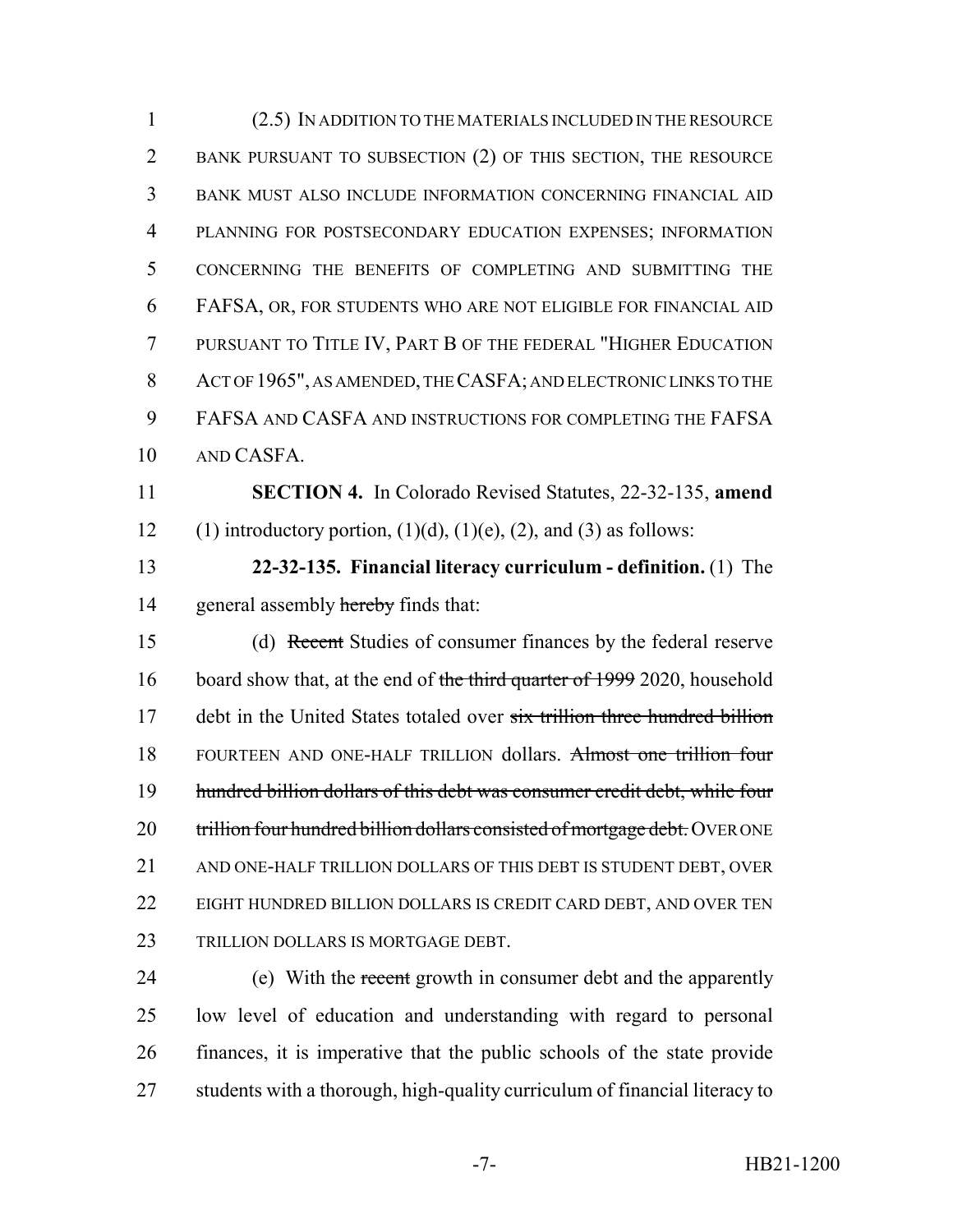(2.5) IN ADDITION TO THE MATERIALS INCLUDED IN THE RESOURCE BANK PURSUANT TO SUBSECTION (2) OF THIS SECTION, THE RESOURCE BANK MUST ALSO INCLUDE INFORMATION CONCERNING FINANCIAL AID PLANNING FOR POSTSECONDARY EDUCATION EXPENSES; INFORMATION CONCERNING THE BENEFITS OF COMPLETING AND SUBMITTING THE FAFSA, OR, FOR STUDENTS WHO ARE NOT ELIGIBLE FOR FINANCIAL AID PURSUANT TO TITLE IV, PART B OF THE FEDERAL "HIGHER EDUCATION ACT OF 1965", AS AMENDED, THE CASFA; AND ELECTRONIC LINKS TO THE FAFSA AND CASFA AND INSTRUCTIONS FOR COMPLETING THE FAFSA AND CASFA. **SECTION 4.** In Colorado Revised Statutes, 22-32-135, **amend** 12 (1) introductory portion,  $(1)(d)$ ,  $(1)(e)$ ,  $(2)$ , and  $(3)$  as follows: **22-32-135. Financial literacy curriculum - definition.** (1) The 14 general assembly hereby finds that: (d) Recent Studies of consumer finances by the federal reserve 16 board show that, at the end of the third quarter of 1999 2020, household 17 debt in the United States totaled over six trillion three hundred billion 18 FOURTEEN AND ONE-HALF TRILLION dollars. Almost one trillion four hundred billion dollars of this debt was consumer credit debt, while four 20 trillion four hundred billion dollars consisted of mortgage debt. OVER ONE AND ONE-HALF TRILLION DOLLARS OF THIS DEBT IS STUDENT DEBT, OVER 22 EIGHT HUNDRED BILLION DOLLARS IS CREDIT CARD DEBT, AND OVER TEN 23 TRILLION DOLLARS IS MORTGAGE DEBT. 24 (e) With the recent growth in consumer debt and the apparently

 low level of education and understanding with regard to personal finances, it is imperative that the public schools of the state provide students with a thorough, high-quality curriculum of financial literacy to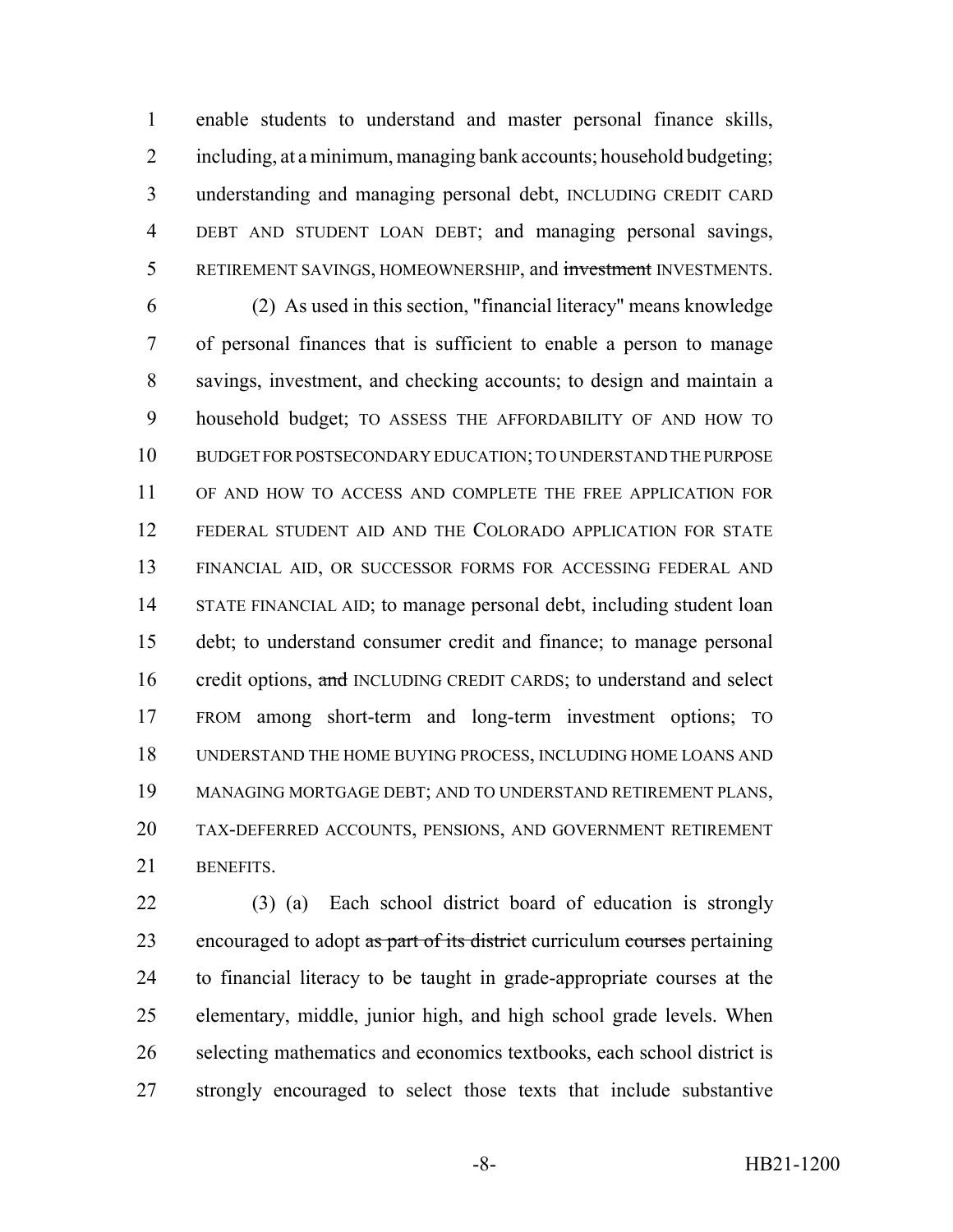enable students to understand and master personal finance skills, including, at a minimum, managing bank accounts; household budgeting; understanding and managing personal debt, INCLUDING CREDIT CARD DEBT AND STUDENT LOAN DEBT; and managing personal savings, 5 RETIREMENT SAVINGS, HOMEOWNERSHIP, and investment INVESTMENTS.

 (2) As used in this section, "financial literacy" means knowledge of personal finances that is sufficient to enable a person to manage savings, investment, and checking accounts; to design and maintain a household budget; TO ASSESS THE AFFORDABILITY OF AND HOW TO BUDGET FOR POSTSECONDARY EDUCATION; TO UNDERSTAND THE PURPOSE OF AND HOW TO ACCESS AND COMPLETE THE FREE APPLICATION FOR FEDERAL STUDENT AID AND THE COLORADO APPLICATION FOR STATE FINANCIAL AID, OR SUCCESSOR FORMS FOR ACCESSING FEDERAL AND STATE FINANCIAL AID; to manage personal debt, including student loan debt; to understand consumer credit and finance; to manage personal 16 credit options, and INCLUDING CREDIT CARDS; to understand and select FROM among short-term and long-term investment options; TO UNDERSTAND THE HOME BUYING PROCESS, INCLUDING HOME LOANS AND MANAGING MORTGAGE DEBT; AND TO UNDERSTAND RETIREMENT PLANS, TAX-DEFERRED ACCOUNTS, PENSIONS, AND GOVERNMENT RETIREMENT BENEFITS.

 (3) (a) Each school district board of education is strongly 23 encouraged to adopt as part of its district curriculum courses pertaining to financial literacy to be taught in grade-appropriate courses at the elementary, middle, junior high, and high school grade levels. When selecting mathematics and economics textbooks, each school district is strongly encouraged to select those texts that include substantive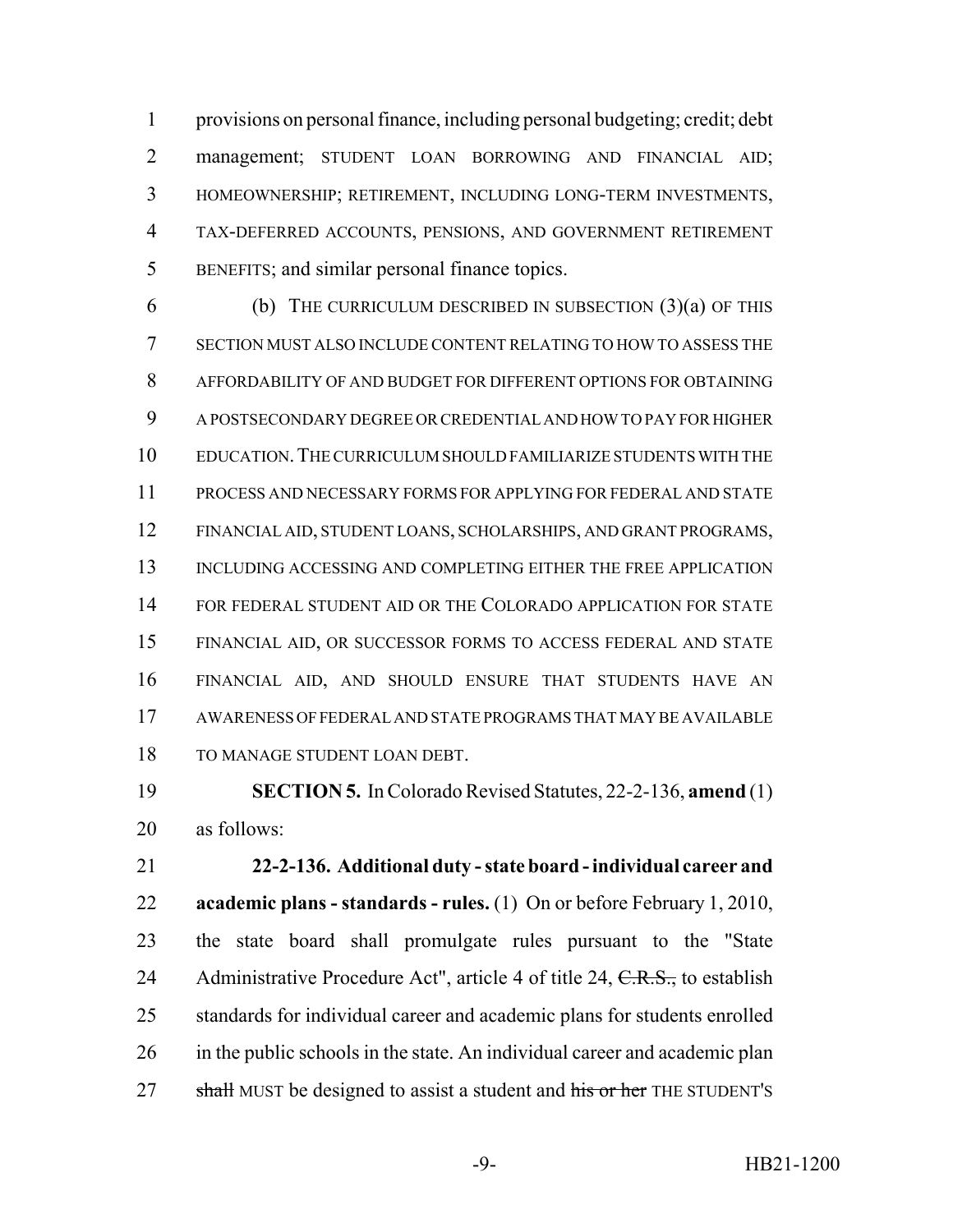provisions on personal finance, including personal budgeting; credit; debt 2 management; STUDENT LOAN BORROWING AND FINANCIAL AID; HOMEOWNERSHIP; RETIREMENT, INCLUDING LONG-TERM INVESTMENTS, TAX-DEFERRED ACCOUNTS, PENSIONS, AND GOVERNMENT RETIREMENT BENEFITS; and similar personal finance topics.

6 (b) THE CURRICULUM DESCRIBED IN SUBSECTION  $(3)(a)$  OF THIS SECTION MUST ALSO INCLUDE CONTENT RELATING TO HOW TO ASSESS THE AFFORDABILITY OF AND BUDGET FOR DIFFERENT OPTIONS FOR OBTAINING A POSTSECONDARY DEGREE OR CREDENTIAL AND HOW TO PAY FOR HIGHER EDUCATION.THE CURRICULUM SHOULD FAMILIARIZE STUDENTS WITH THE PROCESS AND NECESSARY FORMS FOR APPLYING FOR FEDERAL AND STATE FINANCIAL AID, STUDENT LOANS, SCHOLARSHIPS, AND GRANT PROGRAMS, INCLUDING ACCESSING AND COMPLETING EITHER THE FREE APPLICATION 14 FOR FEDERAL STUDENT AID OR THE COLORADO APPLICATION FOR STATE FINANCIAL AID, OR SUCCESSOR FORMS TO ACCESS FEDERAL AND STATE FINANCIAL AID, AND SHOULD ENSURE THAT STUDENTS HAVE AN AWARENESS OF FEDERAL AND STATE PROGRAMS THAT MAY BE AVAILABLE TO MANAGE STUDENT LOAN DEBT.

 **SECTION 5.** In Colorado Revised Statutes, 22-2-136, **amend** (1) as follows:

 **22-2-136. Additional duty - state board - individual career and academic plans - standards - rules.** (1) On or before February 1, 2010, the state board shall promulgate rules pursuant to the "State 24 Administrative Procedure Act", article 4 of title 24, C.R.S., to establish standards for individual career and academic plans for students enrolled 26 in the public schools in the state. An individual career and academic plan 27 shall MUST be designed to assist a student and his or her THE STUDENT's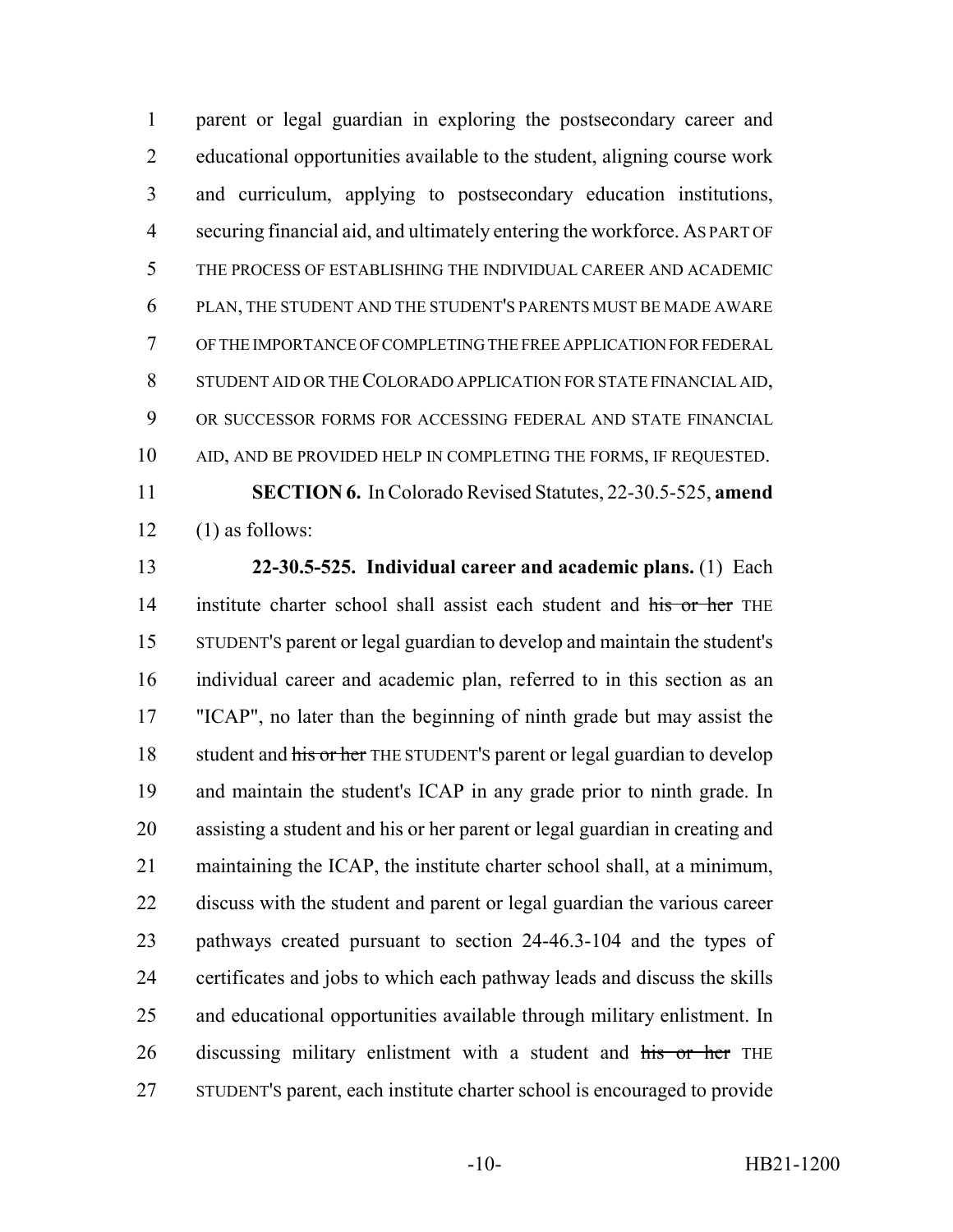parent or legal guardian in exploring the postsecondary career and educational opportunities available to the student, aligning course work and curriculum, applying to postsecondary education institutions, securing financial aid, and ultimately entering the workforce. AS PART OF THE PROCESS OF ESTABLISHING THE INDIVIDUAL CAREER AND ACADEMIC PLAN, THE STUDENT AND THE STUDENT'S PARENTS MUST BE MADE AWARE OF THE IMPORTANCE OF COMPLETING THE FREE APPLICATION FOR FEDERAL STUDENT AID OR THE COLORADO APPLICATION FOR STATE FINANCIAL AID, OR SUCCESSOR FORMS FOR ACCESSING FEDERAL AND STATE FINANCIAL AID, AND BE PROVIDED HELP IN COMPLETING THE FORMS, IF REQUESTED. **SECTION 6.** In Colorado Revised Statutes, 22-30.5-525, **amend**

 $12 \quad (1)$  as follows:

 **22-30.5-525. Individual career and academic plans.** (1) Each 14 institute charter school shall assist each student and his or her THE STUDENT'S parent or legal guardian to develop and maintain the student's individual career and academic plan, referred to in this section as an "ICAP", no later than the beginning of ninth grade but may assist the 18 student and his or her THE STUDENT's parent or legal guardian to develop and maintain the student's ICAP in any grade prior to ninth grade. In assisting a student and his or her parent or legal guardian in creating and maintaining the ICAP, the institute charter school shall, at a minimum, discuss with the student and parent or legal guardian the various career pathways created pursuant to section 24-46.3-104 and the types of certificates and jobs to which each pathway leads and discuss the skills and educational opportunities available through military enlistment. In 26 discussing military enlistment with a student and his or her THE STUDENT'S parent, each institute charter school is encouraged to provide